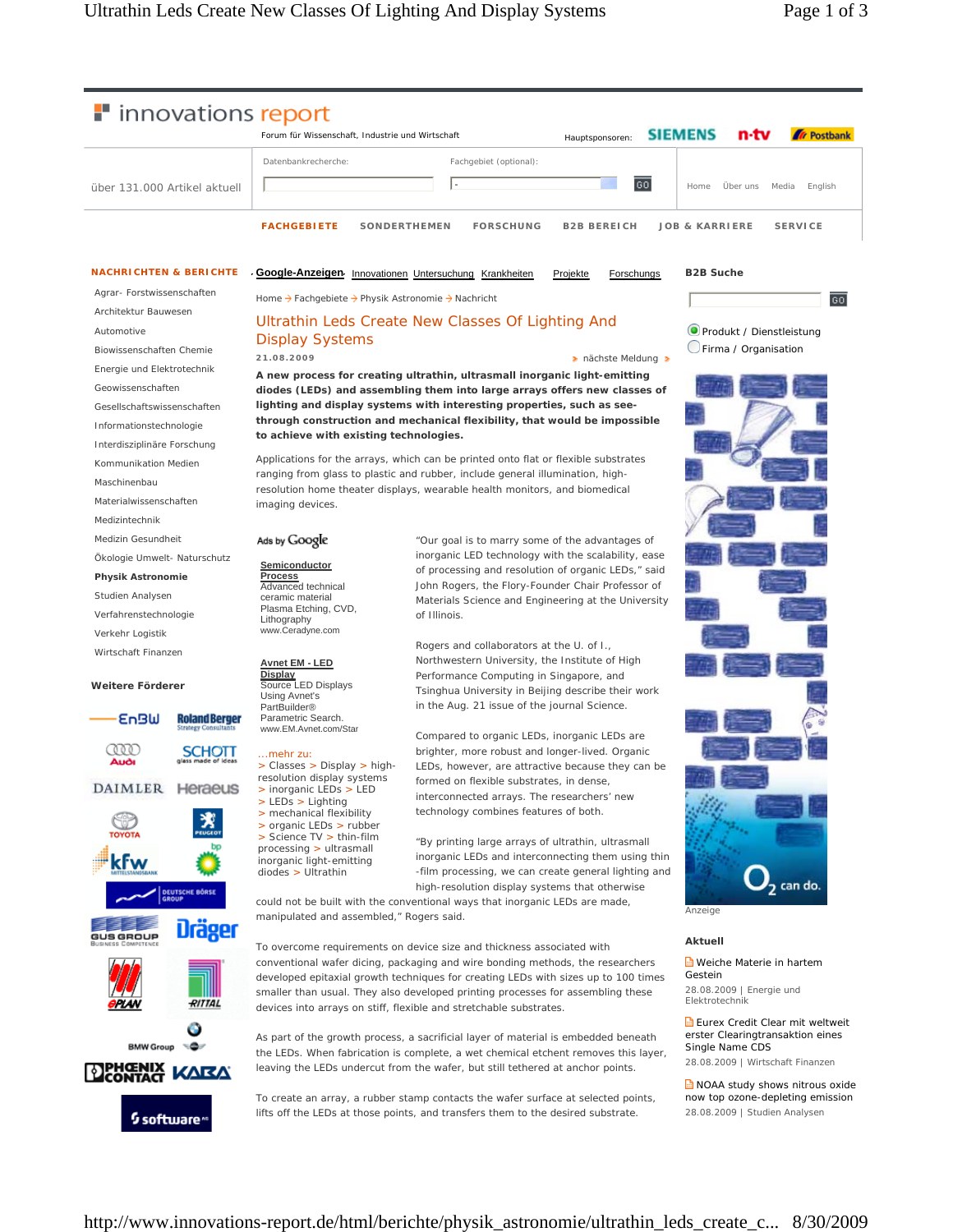$\overline{\mathbf{GQ}}$ 



#### **NACHRICHTEN & BERICHTE**

Agrar- Forstwissenschaften Architektur Bauwesen Automotive Biowissenschaften Chemie Energie und Elektrotechnik Geowissenschaften Gesellschaftswissenschaften

Informationstechnologie

Interdisziplinäre Forschung

Kommunikation Medien

Maschinenbau

Materialwissenschaften

Medizintechnik

Medizin Gesundheit

Ökologie Umwelt- Naturschutz

**Physik Astronomie** Studien Analysen

Verfahrenstechnologie Verkehr Logistik

Wirtschaft Finanzen

#### **Weitere Förderer**

**EnBW Roland Berger** œ **SCHOTT DAIMLER Heraeus** kFw Urager RITTAL 6 **BMW Group** ره-



**Google-Anzeigen** Innovationen Untersuchung Krankheiten Projekte Forschungs

Home → Fachgebiete → Physik Astronomie → Nachricht

## Ultrathin Leds Create New Classes Of Lighting And Display Systems

**a** nächste Meldung

"Our goal is to marry some of the advantages of inorganic LED technology with the scalability, ease of processing and resolution of organic LEDs," said John Rogers, the Flory-Founder Chair Professor of

Rogers and collaborators at the U. of I., Northwestern University, the Institute of High Performance Computing in Singapore, and Tsinghua University in Beijing describe their work in the Aug. 21 issue of the journal Science.

Compared to organic LEDs, inorganic LEDs are brighter, more robust and longer-lived. Organic LEDs, however, are attractive because they can be

"By printing large arrays of ultrathin, ultrasmall

high-resolution display systems that otherwise

formed on flexible substrates, in dense, interconnected arrays. The researchers' new technology combines features of both.

**A new process for creating ultrathin, ultrasmall inorganic light-emitting diodes (LEDs) and assembling them into large arrays offers new classes of lighting and display systems with interesting properties, such as seethrough construction and mechanical flexibility, that would be impossible to achieve with existing technologies.**

Applications for the arrays, which can be printed onto flat or flexible substrates ranging from glass to plastic and rubber, include general illumination, highresolution home theater displays, wearable health monitors, and biomedical imaging devices.

of Illinois.

### Ads by Google

**21.08.2009**

**Semiconductor Process** Advanced technical ceramic material Plasma Etching, CVD, Lithography

# www.Ceradyne.com

**Avnet EM - LED Display** Source LED Displays

# Using Avnet's PartBuilder® Parametric Search. www.EM.Avnet.com/Stan

#### ...mehr zu:

> Classes > Display > highresolution display systems > inorganic LEDs > LED

> LEDs > Lighting > mechanical flexibility > organic LEDs > rubber > Science TV > thin-film processing > ultrasmall

inorganic light-emitting diodes > Ultrathin

could not be built with the conventional ways that inorganic LEDs are made, manipulated and assembled," Rogers said.

To overcome requirements on device size and thickness associated with conventional wafer dicing, packaging and wire bonding methods, the researchers developed epitaxial growth techniques for creating LEDs with sizes up to 100 times smaller than usual. They also developed printing processes for assembling these devices into arrays on stiff, flexible and stretchable substrates.

As part of the growth process, a sacrificial layer of material is embedded beneath the LEDs. When fabrication is complete, a wet chemical etchent removes this layer, leaving the LEDs undercut from the wafer, but still tethered at anchor points.

To create an array, a rubber stamp contacts the wafer surface at selected points, lifts off the LEDs at those points, and transfers them to the desired substrate.

**B2B Suche**

Produkt / Dienstleistung Firma / Organisation



Anzeige

#### **Aktuell**

Weiche Materie in hartem Gestein

28.08.2009 | Energie und Elektrotechni

Eurex Credit Clear mit weltweit erster Clearingtransaktion eines Single Name CDS 28.08.2009 | Wirtschaft Finanzen

**NOAA** study shows nitrous oxide now top ozone-depleting emission 28.08.2009 | Studien Analysen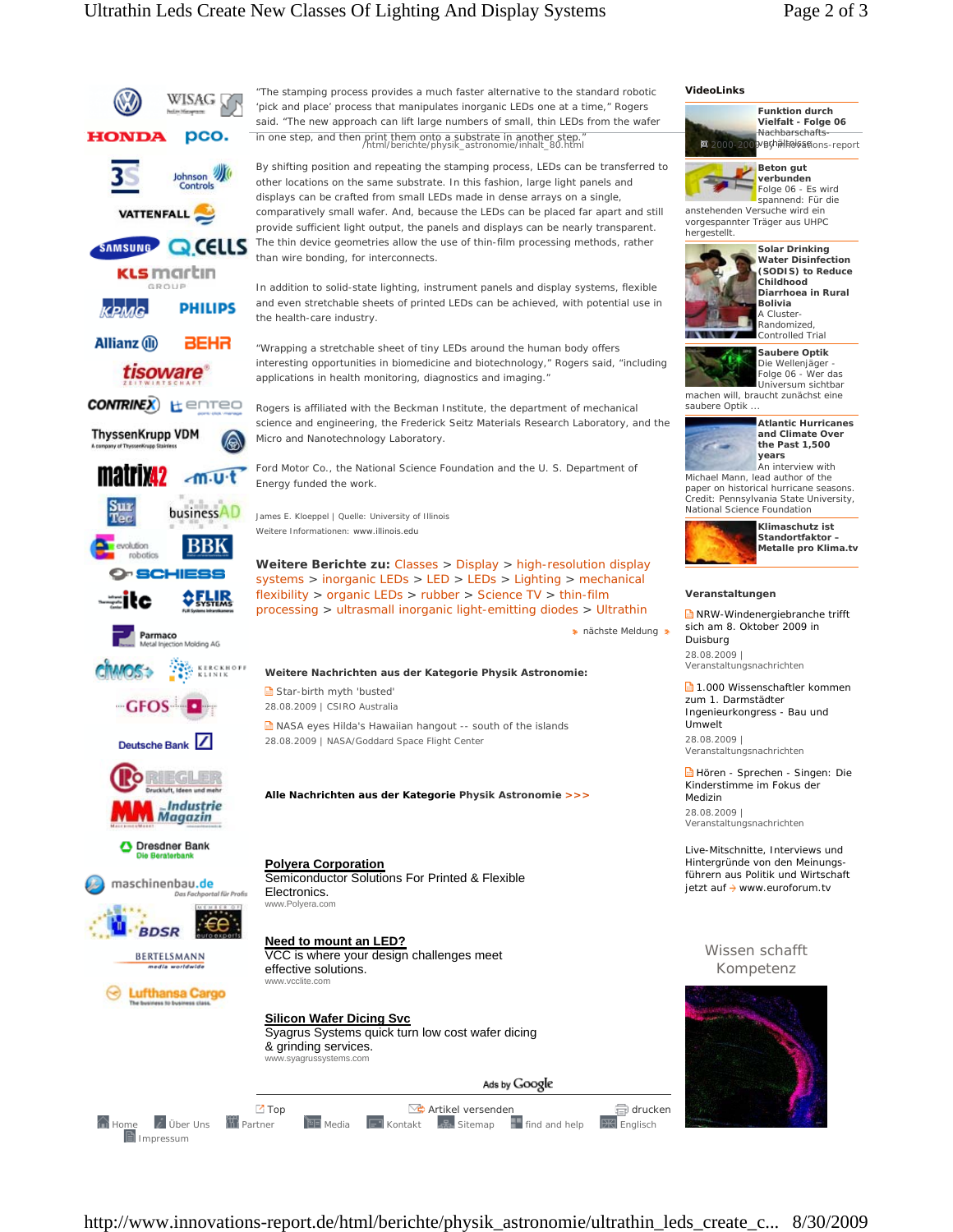# Ultrathin Leds Create New Classes Of Lighting And Display Systems Page 2 of 3



**VideoLinks**

**Funktion durch Vielfalt - Folge 06** Nachbarschaftsvbrhältnisseions-report



spannend: Für die anstehenden Versuche wird ein vorgespannter Träger aus UHPC hergestellt.



**Solar Drinking Water Disinfection (SODIS) to Reduce Childhood Diarrhoea in Rural Bolivia** A Cluster-

Randomized, Controlled Trial

**Saubere Optik** 

Die Wellenjäger - Folge 06 - Wer das Universum sichtbar

machen will, braucht zunächst eine saubere Optik



**and Climate Over the Past 1,500**  An interview with

Michael Mann, lead author of the paper on historical hurricane seasons. Credit: Pennsylvania State University, National Science Foundation



**Klimaschutz ist Standortfaktor – Metalle pro Klima.tv**

#### **Veranstaltungen**

NRW-Windenergiebranche trifft sich am 8. Oktober 2009 in Duisburg 28.08.2009 |

Veranstaltungsnachrichten

**1.000 Wissenschaftler kommen** zum 1. Darmstädter Ingenieurkongress - Bau und Umwelt 28.08.2009 | Veranstaltungsnachrichten

Hören - Sprechen - Singen: Die Kinderstimme im Fokus der Medizin

28.08.2009 | Veranstaltungsnachrichten

Live-Mitschnitte, Interviews und Hintergründe von den Meinungsführern aus Politik und Wirtschaft  $i$ etzt auf  $\rightarrow$  www.euroforum.tv

## Wissen schafft Kompetenz



http://www.innovations-report.de/html/berichte/physik\_astronomie/ultrathin\_leds\_create\_c... 8/30/2009